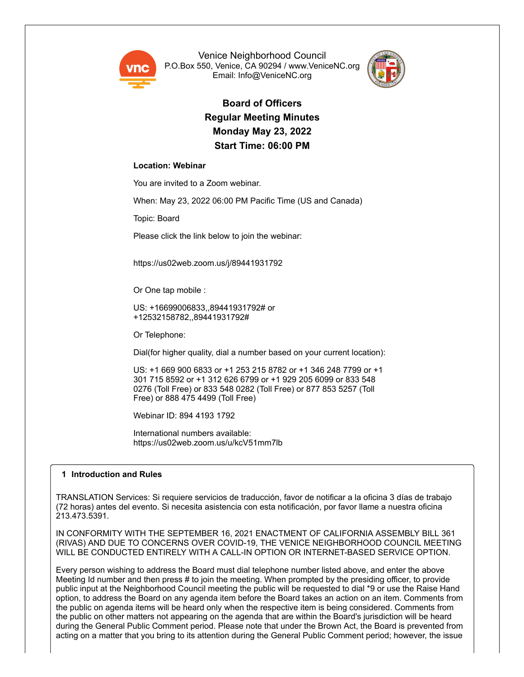

Venice Neighborhood Council P.O.Box 550, Venice, CA 90294 / www.VeniceNC.org Email: Info@VeniceNC.org



**Board of Officers Regular Meeting Minutes Monday May 23, 2022 Start Time: 06:00 PM**

# **Location: Webinar**

You are invited to a Zoom webinar.

When: May 23, 2022 06:00 PM Pacific Time (US and Canada)

Topic: Board

Please click the link below to join the webinar:

https://us02web.zoom.us/j/89441931792

Or One tap mobile :

US: +16699006833,,89441931792# or +12532158782,,89441931792#

Or Telephone:

Dial(for higher quality, dial a number based on your current location):

US: +1 669 900 6833 or +1 253 215 8782 or +1 346 248 7799 or +1 301 715 8592 or +1 312 626 6799 or +1 929 205 6099 or 833 548 0276 (Toll Free) or 833 548 0282 (Toll Free) or 877 853 5257 (Toll Free) or 888 475 4499 (Toll Free)

Webinar ID: 894 4193 1792

International numbers available: https://us02web.zoom.us/u/kcV51mm7lb

# **1 Introduction and Rules**

TRANSLATION Services: Si requiere servicios de traducción, favor de notificar a la oficina 3 días de trabajo (72 horas) antes del evento. Si necesita asistencia con esta notificación, por favor llame a nuestra oficina 213.473.5391.

IN CONFORMITY WITH THE SEPTEMBER 16, 2021 ENACTMENT OF CALIFORNIA ASSEMBLY BILL 361 (RIVAS) AND DUE TO CONCERNS OVER COVID-19, THE VENICE NEIGHBORHOOD COUNCIL MEETING WILL BE CONDUCTED ENTIRELY WITH A CALL-IN OPTION OR INTERNET-BASED SERVICE OPTION.

Every person wishing to address the Board must dial telephone number listed above, and enter the above Meeting Id number and then press # to join the meeting. When prompted by the presiding officer, to provide public input at the Neighborhood Council meeting the public will be requested to dial \*9 or use the Raise Hand option, to address the Board on any agenda item before the Board takes an action on an item. Comments from the public on agenda items will be heard only when the respective item is being considered. Comments from the public on other matters not appearing on the agenda that are within the Board's jurisdiction will be heard during the General Public Comment period. Please note that under the Brown Act, the Board is prevented from acting on a matter that you bring to its attention during the General Public Comment period; however, the issue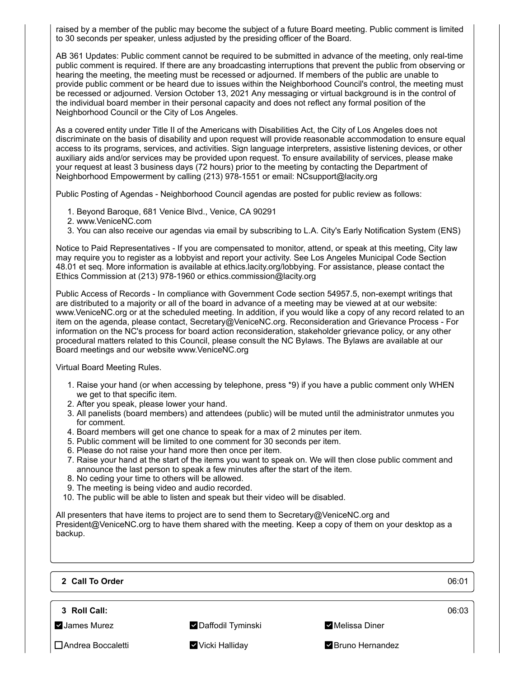raised by a member of the public may become the subject of a future Board meeting. Public comment is limited to 30 seconds per speaker, unless adjusted by the presiding officer of the Board.

AB 361 Updates: Public comment cannot be required to be submitted in advance of the meeting, only real-time public comment is required. If there are any broadcasting interruptions that prevent the public from observing or hearing the meeting, the meeting must be recessed or adjourned. If members of the public are unable to provide public comment or be heard due to issues within the Neighborhood Council's control, the meeting must be recessed or adjourned. Version October 13, 2021 Any messaging or virtual background is in the control of the individual board member in their personal capacity and does not reflect any formal position of the Neighborhood Council or the City of Los Angeles.

As a covered entity under Title II of the Americans with Disabilities Act, the City of Los Angeles does not discriminate on the basis of disability and upon request will provide reasonable accommodation to ensure equal access to its programs, services, and activities. Sign language interpreters, assistive listening devices, or other auxiliary aids and/or services may be provided upon request. To ensure availability of services, please make your request at least 3 business days (72 hours) prior to the meeting by contacting the Department of Neighborhood Empowerment by calling (213) 978-1551 or email: NCsupport@lacity.org

Public Posting of Agendas - Neighborhood Council agendas are posted for public review as follows:

- 1. Beyond Baroque, 681 Venice Blvd., Venice, CA 90291
- 2. www.VeniceNC.com
- 3. You can also receive our agendas via email by subscribing to L.A. City's Early Notification System (ENS)

Notice to Paid Representatives - If you are compensated to monitor, attend, or speak at this meeting, City law may require you to register as a lobbyist and report your activity. See Los Angeles Municipal Code Section 48.01 et seq. More information is available at ethics.lacity.org/lobbying. For assistance, please contact the Ethics Commission at (213) 978-1960 or ethics.commission@lacity.org

Public Access of Records - In compliance with Government Code section 54957.5, non-exempt writings that are distributed to a majority or all of the board in advance of a meeting may be viewed at at our website: www.VeniceNC.org or at the scheduled meeting. In addition, if you would like a copy of any record related to an item on the agenda, please contact, Secretary@VeniceNC.org. Reconsideration and Grievance Process - For information on the NC's process for board action reconsideration, stakeholder grievance policy, or any other procedural matters related to this Council, please consult the NC Bylaws. The Bylaws are available at our Board meetings and our website www.VeniceNC.org

Virtual Board Meeting Rules.

- 1. Raise your hand (or when accessing by telephone, press \*9) if you have a public comment only WHEN we get to that specific item.
- 2. After you speak, please lower your hand.
- 3. All panelists (board members) and attendees (public) will be muted until the administrator unmutes you for comment.
- 4. Board members will get one chance to speak for a max of 2 minutes per item.
- 5. Public comment will be limited to one comment for 30 seconds per item.
- 6. Please do not raise your hand more then once per item.
- 7. Raise your hand at the start of the items you want to speak on. We will then close public comment and announce the last person to speak a few minutes after the start of the item.
- 8. No ceding your time to others will be allowed.
- 9. The meeting is being video and audio recorded.
- 10. The public will be able to listen and speak but their video will be disabled.

All presenters that have items to project are to send them to Secretary@VeniceNC.org and President@VeniceNC.org to have them shared with the meeting. Keep a copy of them on your desktop as a backup.

**2 Call To Order** 06:01

**3 Roll Call:** 06:03

**V** James Murez **Music Constructs And Accord V** Daffodil Tyminski Melissa Diner

- Andrea Boccaletti Vicki Halliday Bruno Hernandez
	-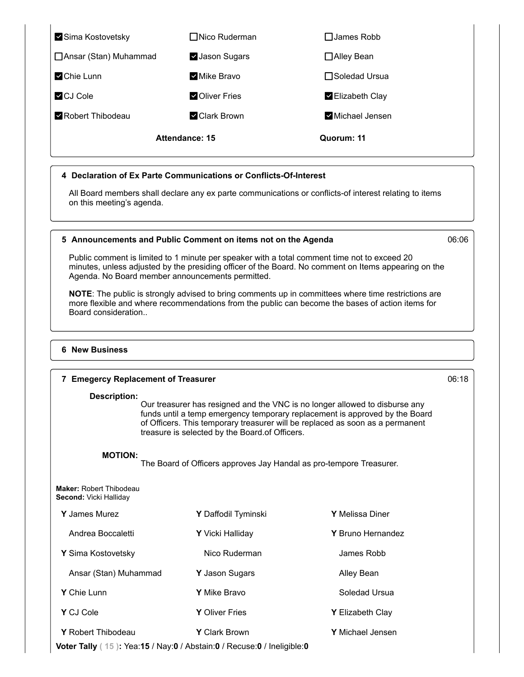| Sima Kostovetsky        | □ Nico Ruderman | $\Box$ James Robb |
|-------------------------|-----------------|-------------------|
| □ Ansar (Stan) Muhammad | V Jason Sugars  | □ Alley Bean      |
| Chie Lunn               | Mike Bravo      | □Soledad Ursua    |
| CJ Cole                 | Oliver Fries    | Elizabeth Clay    |
| Robert Thibodeau        | Clark Brown     | Michael Jensen    |
| Attendance: 15          |                 | Quorum: 11        |

# **4 Declaration of Ex Parte Communications or Conflicts-Of-Interest**

All Board members shall declare any ex parte communications or conflicts-of interest relating to items on this meeting's agenda.

# **5 Announcements and Public Comment on items not on the Agenda** 06:06

Public comment is limited to 1 minute per speaker with a total comment time not to exceed 20 minutes, unless adjusted by the presiding officer of the Board. No comment on Items appearing on the Agenda. No Board member announcements permitted.

**NOTE**: The public is strongly advised to bring comments up in committees where time restrictions are more flexible and where recommendations from the public can become the bases of action items for Board consideration..

### **6 New Business**

# **7 Emegercy Replacement of Treasurer** 06:18 **Description:**

Our treasurer has resigned and the VNC is no longer allowed to disburse any funds until a temp emergency temporary replacement is approved by the Board of Officers. This temporary treasurer will be replaced as soon as a permanent treasure is selected by the Board.of Officers.

# **MOTION:**

The Board of Officers approves Jay Handal as pro-tempore Treasurer.

| <b>Maker: Robert Thibodeau</b> |  |
|--------------------------------|--|
| <b>Second:</b> Vicki Hallidav  |  |

| <b>Y</b> James Murez      | Y Daffodil Tyminski     | <b>Y</b> Melissa Diner  |
|---------------------------|-------------------------|-------------------------|
| Andrea Boccaletti         | <b>Y</b> Vicki Halliday | Y Bruno Hernandez       |
| <b>Y</b> Sima Kostovetsky | Nico Ruderman           | James Robb              |
| Ansar (Stan) Muhammad     | <b>Y</b> Jason Sugars   | Alley Bean              |
| <b>Y</b> Chie Lunn        | <b>Y</b> Mike Bravo     | Soledad Ursua           |
| Y CJ Cole                 | <b>Y</b> Oliver Fries   | <b>Y</b> Elizabeth Clay |
| <b>Y</b> Robert Thibodeau | <b>Y</b> Clark Brown    | <b>Y</b> Michael Jensen |

**Voter Tally ( 15 ):** Yea:**15** / Nay:**0** / Abstain:**0** / Recuse:**0** / Ineligible:**0**